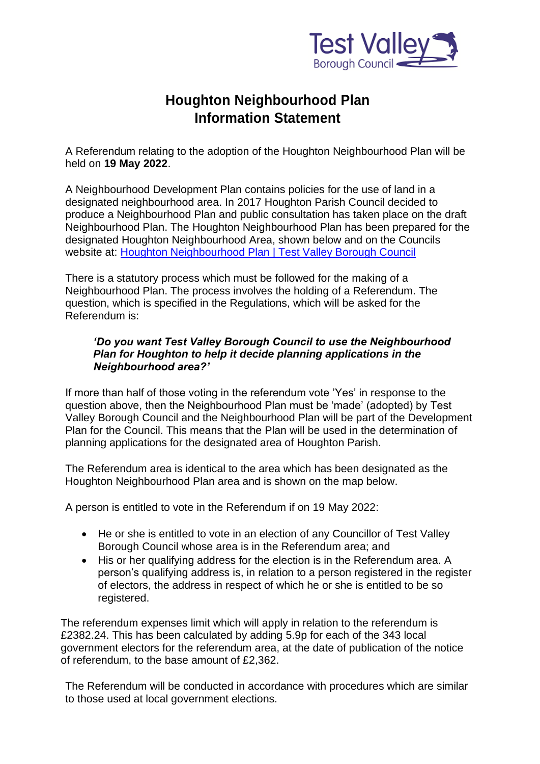

## **Houghton Neighbourhood Plan Information Statement**

A Referendum relating to the adoption of the Houghton Neighbourhood Plan will be held on **19 May 2022**.

A Neighbourhood Development Plan contains policies for the use of land in a designated neighbourhood area. In 2017 Houghton Parish Council decided to produce a Neighbourhood Plan and public consultation has taken place on the draft Neighbourhood Plan. The Houghton Neighbourhood Plan has been prepared for the designated Houghton Neighbourhood Area, shown below and on the Councils website at: [Houghton Neighbourhood Plan | Test Valley Borough Council](https://www.testvalley.gov.uk/consultations/houghton-neighbourhood-plan)

There is a statutory process which must be followed for the making of a Neighbourhood Plan. The process involves the holding of a Referendum. The question, which is specified in the Regulations, which will be asked for the Referendum is:

## *'Do you want Test Valley Borough Council to use the Neighbourhood Plan for Houghton to help it decide planning applications in the Neighbourhood area?'*

If more than half of those voting in the referendum vote 'Yes' in response to the question above, then the Neighbourhood Plan must be 'made' (adopted) by Test Valley Borough Council and the Neighbourhood Plan will be part of the Development Plan for the Council. This means that the Plan will be used in the determination of planning applications for the designated area of Houghton Parish.

The Referendum area is identical to the area which has been designated as the Houghton Neighbourhood Plan area and is shown on the map below.

A person is entitled to vote in the Referendum if on 19 May 2022:

- He or she is entitled to vote in an election of any Councillor of Test Valley Borough Council whose area is in the Referendum area; and
- His or her qualifying address for the election is in the Referendum area. A person's qualifying address is, in relation to a person registered in the register of electors, the address in respect of which he or she is entitled to be so registered.

The referendum expenses limit which will apply in relation to the referendum is £2382.24. This has been calculated by adding 5.9p for each of the 343 local government electors for the referendum area, at the date of publication of the notice of referendum, to the base amount of £2,362.

The Referendum will be conducted in accordance with procedures which are similar to those used at local government elections.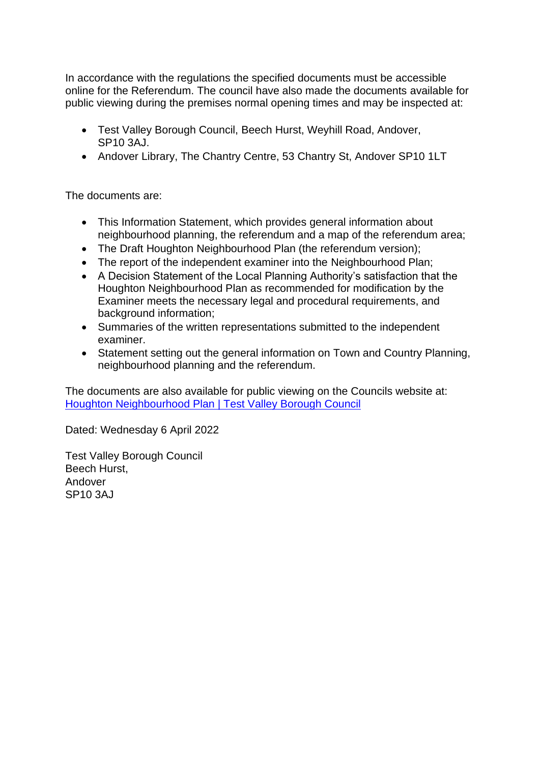In accordance with the regulations the specified documents must be accessible online for the Referendum. The council have also made the documents available for public viewing during the premises normal opening times and may be inspected at:

- Test Valley Borough Council, Beech Hurst, Weyhill Road, Andover, SP10 3AJ.
- Andover Library, The Chantry Centre, 53 Chantry St, Andover SP10 1LT

The documents are:

- This Information Statement, which provides general information about neighbourhood planning, the referendum and a map of the referendum area;
- The Draft Houghton Neighbourhood Plan (the referendum version);
- The report of the independent examiner into the Neighbourhood Plan;
- A Decision Statement of the Local Planning Authority's satisfaction that the Houghton Neighbourhood Plan as recommended for modification by the Examiner meets the necessary legal and procedural requirements, and background information;
- Summaries of the written representations submitted to the independent examiner.
- Statement setting out the general information on Town and Country Planning, neighbourhood planning and the referendum.

The documents are also available for public viewing on the Councils website at: [Houghton Neighbourhood Plan | Test Valley Borough Council](https://www.testvalley.gov.uk/consultations/houghton-neighbourhood-plan)

Dated: Wednesday 6 April 2022

Test Valley Borough Council Beech Hurst, Andover SP10 3AJ